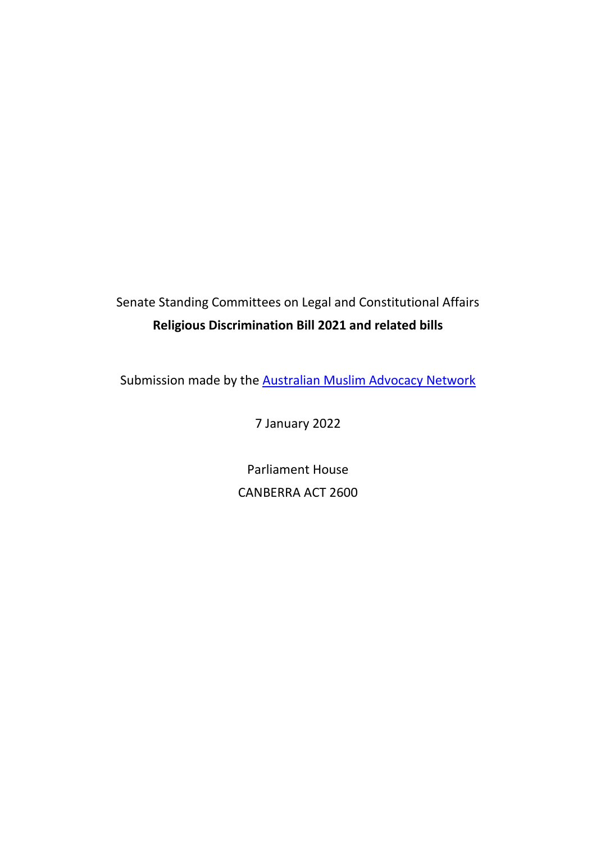# Senate Standing Committees on Legal and Constitutional Affairs **Religious Discrimination Bill 2021 and related bills**

Submission made by the **Australian Muslim Advocacy Network** 

7 January 2022

Parliament House CANBERRA ACT 2600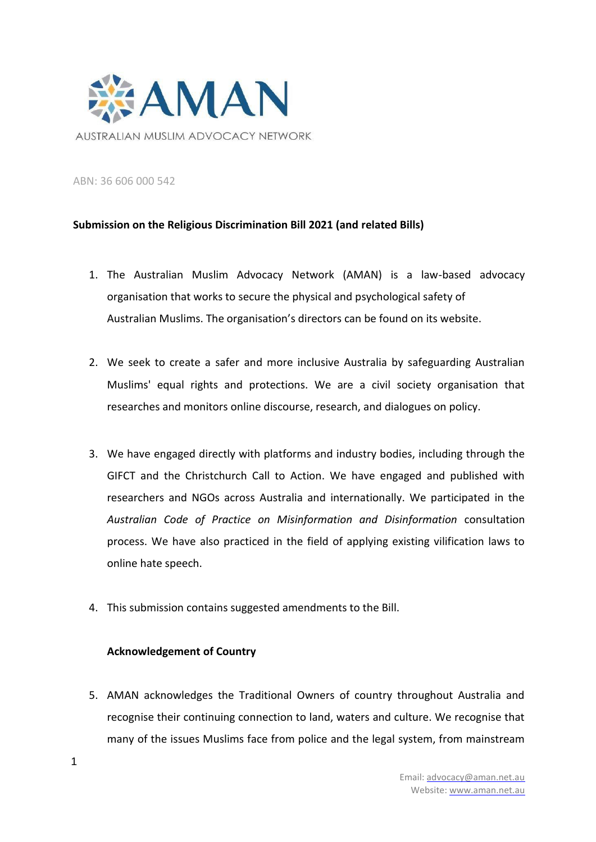

ABN: 36 606 000 542

## **Submission on the Religious Discrimination Bill 2021 (and related Bills)**

- 1. The Australian Muslim Advocacy Network (AMAN) is a law-based advocacy organisation that works to secure the physical and psychological safety of Australian Muslims. The organisation's directors can be found on its website.
- 2. We seek to create a safer and more inclusive Australia by safeguarding Australian Muslims' equal rights and protections. We are a civil society organisation that researches and monitors online discourse, research, and dialogues on policy.
- 3. We have engaged directly with platforms and industry bodies, including through the GIFCT and the Christchurch Call to Action. We have engaged and published with researchers and NGOs across Australia and internationally. We participated in the *Australian Code of Practice on Misinformation and Disinformation* consultation process. We have also practiced in the field of applying existing vilification laws to online hate speech.
- 4. This submission contains suggested amendments to the Bill.

## **Acknowledgement of Country**

5. AMAN acknowledges the Traditional Owners of country throughout Australia and recognise their continuing connection to land, waters and culture. We recognise that many of the issues Muslims face from police and the legal system, from mainstream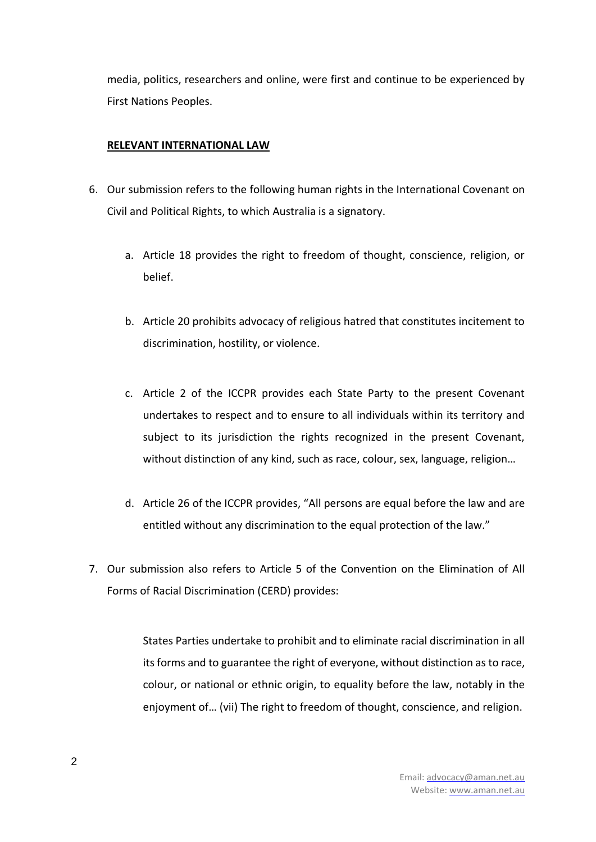media, politics, researchers and online, were first and continue to be experienced by First Nations Peoples.

## **RELEVANT INTERNATIONAL LAW**

- 6. Our submission refers to the following human rights in the International Covenant on Civil and Political Rights, to which Australia is a signatory.
	- a. Article 18 provides the right to freedom of thought, conscience, religion, or belief.
	- b. Article 20 prohibits advocacy of religious hatred that constitutes incitement to discrimination, hostility, or violence.
	- c. Article 2 of the ICCPR provides each State Party to the present Covenant undertakes to respect and to ensure to all individuals within its territory and subject to its jurisdiction the rights recognized in the present Covenant, without distinction of any kind, such as race, colour, sex, language, religion…
	- d. Article 26 of the ICCPR provides, "All persons are equal before the law and are entitled without any discrimination to the equal protection of the law."
- 7. Our submission also refers to Article 5 of the Convention on the Elimination of All Forms of Racial Discrimination (CERD) provides:

States Parties undertake to prohibit and to eliminate racial discrimination in all its forms and to guarantee the right of everyone, without distinction as to race, colour, or national or ethnic origin, to equality before the law, notably in the enjoyment of… (vii) The right to freedom of thought, conscience, and religion.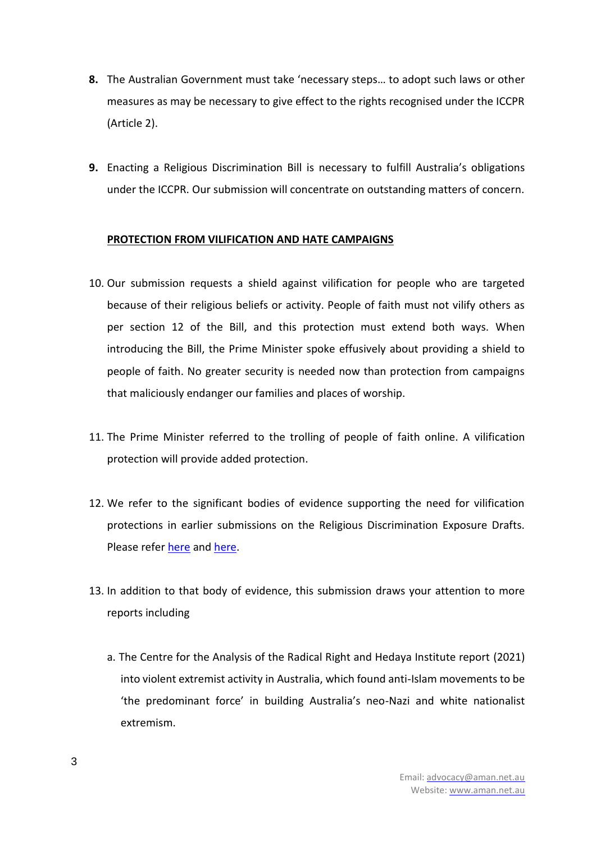- **8.** The Australian Government must take 'necessary steps… to adopt such laws or other measures as may be necessary to give effect to the rights recognised under the ICCPR (Article 2).
- **9.** Enacting a Religious Discrimination Bill is necessary to fulfill Australia's obligations under the ICCPR. Our submission will concentrate on outstanding matters of concern.

## **PROTECTION FROM VILIFICATION AND HATE CAMPAIGNS**

- 10. Our submission requests a shield against vilification for people who are targeted because of their religious beliefs or activity. People of faith must not vilify others as per section 12 of the Bill, and this protection must extend both ways. When introducing the Bill, the Prime Minister spoke effusively about providing a shield to people of faith. No greater security is needed now than protection from campaigns that maliciously endanger our families and places of worship.
- 11. The Prime Minister referred to the trolling of people of faith online. A vilification protection will provide added protection.
- 12. We refer to the significant bodies of evidence supporting the need for vilification protections in earlier submissions on the Religious Discrimination Exposure Drafts. Please refe[r here](https://www.ag.gov.au/sites/default/files/2020-05/joint-submission-from-the-australian-muslim-community.pdf) and [here.](http://amcns.org.au/Joint%20Submission%20on%20the%20Second%20Exposure%20Draft%20-%20Muslim.pdf)
- 13. In addition to that body of evidence, this submission draws your attention to more reports including
	- a. The Centre for the Analysis of the Radical Right and Hedaya Institute report (2021) into violent extremist activity in Australia, which found anti-Islam movements to be 'the predominant force' in building Australia's neo-Nazi and white nationalist extremism.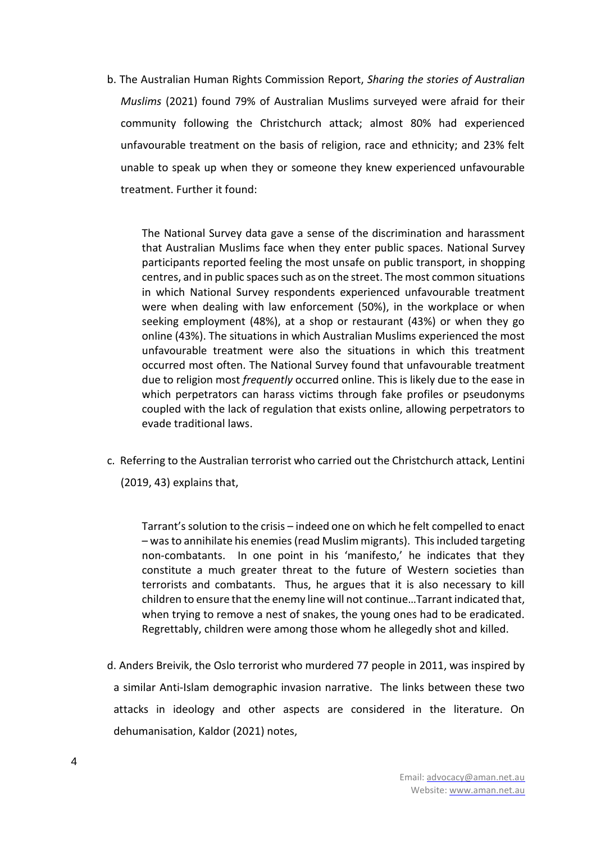b. The Australian Human Rights Commission Report, *Sharing the stories of Australian Muslims* (2021) found 79% of Australian Muslims surveyed were afraid for their community following the Christchurch attack; almost 80% had experienced unfavourable treatment on the basis of religion, race and ethnicity; and 23% felt unable to speak up when they or someone they knew experienced unfavourable treatment. Further it found:

The National Survey data gave a sense of the discrimination and harassment that Australian Muslims face when they enter public spaces. National Survey participants reported feeling the most unsafe on public transport, in shopping centres, and in public spaces such as on the street. The most common situations in which National Survey respondents experienced unfavourable treatment were when dealing with law enforcement (50%), in the workplace or when seeking employment (48%), at a shop or restaurant (43%) or when they go online (43%). The situations in which Australian Muslims experienced the most unfavourable treatment were also the situations in which this treatment occurred most often. The National Survey found that unfavourable treatment due to religion most *frequently* occurred online. This is likely due to the ease in which perpetrators can harass victims through fake profiles or pseudonyms coupled with the lack of regulation that exists online, allowing perpetrators to evade traditional laws.

c. Referring to the Australian terrorist who carried out the Christchurch attack, Lentini (2019, 43) explains that,

Tarrant's solution to the crisis – indeed one on which he felt compelled to enact – was to annihilate his enemies (read Muslim migrants). This included targeting non-combatants. In one point in his 'manifesto,' he indicates that they constitute a much greater threat to the future of Western societies than terrorists and combatants. Thus, he argues that it is also necessary to kill children to ensure that the enemy line will not continue…Tarrant indicated that, when trying to remove a nest of snakes, the young ones had to be eradicated. Regrettably, children were among those whom he allegedly shot and killed.

d. Anders Breivik, the Oslo terrorist who murdered 77 people in 2011, was inspired by a similar Anti-Islam demographic invasion narrative. The links between these two attacks in ideology and other aspects are considered in the literature. On dehumanisation, Kaldor (2021) notes,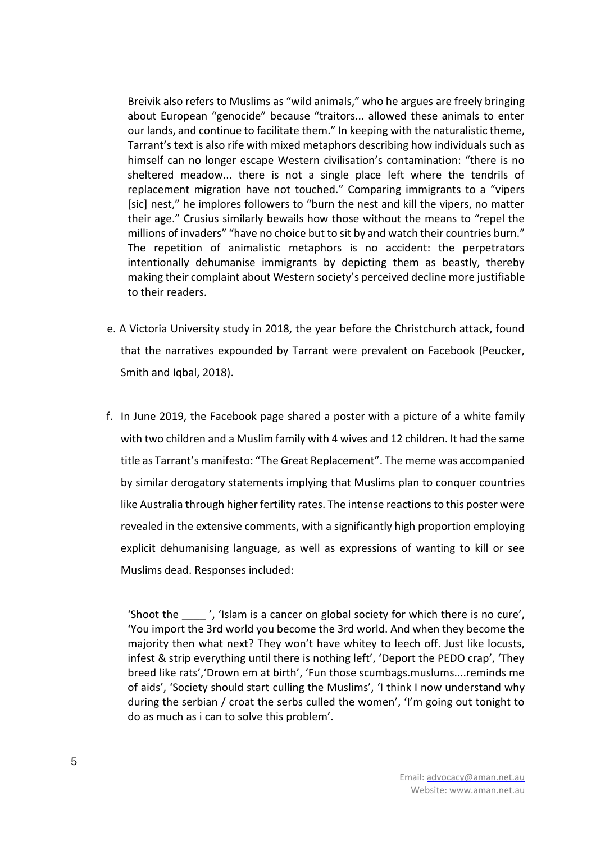Breivik also refers to Muslims as "wild animals," who he argues are freely bringing about European "genocide" because "traitors... allowed these animals to enter our lands, and continue to facilitate them." In keeping with the naturalistic theme, Tarrant's text is also rife with mixed metaphors describing how individuals such as himself can no longer escape Western civilisation's contamination: "there is no sheltered meadow... there is not a single place left where the tendrils of replacement migration have not touched." Comparing immigrants to a "vipers [sic] nest," he implores followers to "burn the nest and kill the vipers, no matter their age." Crusius similarly bewails how those without the means to "repel the millions of invaders" "have no choice but to sit by and watch their countries burn." The repetition of animalistic metaphors is no accident: the perpetrators intentionally dehumanise immigrants by depicting them as beastly, thereby making their complaint about Western society's perceived decline more justifiable to their readers.

- e. A Victoria University study in 2018, the year before the Christchurch attack, found that the narratives expounded by Tarrant were prevalent on Facebook (Peucker, Smith and Iqbal, 2018).
- f. In June 2019, the Facebook page shared a poster with a picture of a white family with two children and a Muslim family with 4 wives and 12 children. It had the same title as Tarrant's manifesto: "The Great Replacement". The meme was accompanied by similar derogatory statements implying that Muslims plan to conquer countries like Australia through higher fertility rates. The intense reactions to this poster were revealed in the extensive comments, with a significantly high proportion employing explicit dehumanising language, as well as expressions of wanting to kill or see Muslims dead. Responses included:

'Shoot the \_\_\_\_ ', 'Islam is a cancer on global society for which there is no cure', 'You import the 3rd world you become the 3rd world. And when they become the majority then what next? They won't have whitey to leech off. Just like locusts, infest & strip everything until there is nothing left', 'Deport the PEDO crap', 'They breed like rats','Drown em at birth', 'Fun those scumbags.muslums....reminds me of aids', 'Society should start culling the Muslims', 'I think I now understand why during the serbian / croat the serbs culled the women', 'I'm going out tonight to do as much as i can to solve this problem'.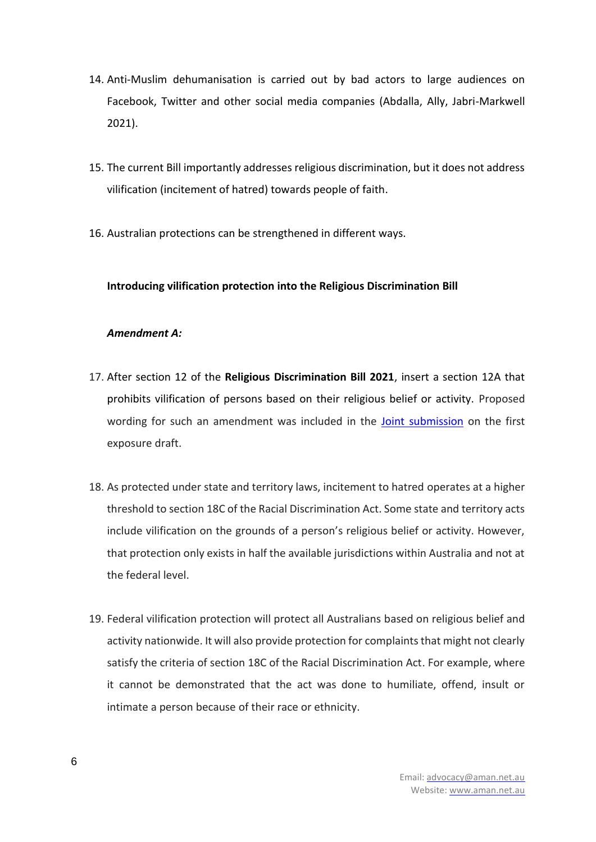- 14. Anti-Muslim dehumanisation is carried out by bad actors to large audiences on Facebook, Twitter and other social media companies (Abdalla, Ally, Jabri-Markwell 2021).
- 15. The current Bill importantly addresses religious discrimination, but it does not address vilification (incitement of hatred) towards people of faith.
- 16. Australian protections can be strengthened in different ways.

## **Introducing vilification protection into the Religious Discrimination Bill**

## *Amendment A:*

- 17. After section 12 of the **Religious Discrimination Bill 2021**, insert a section 12A that prohibits vilification of persons based on their religious belief or activity. Proposed wording for such an amendment was included in the [Joint submission](https://www.ag.gov.au/sites/default/files/2020-05/joint-submission-from-the-australian-muslim-community.pdf) on the first exposure draft.
- 18. As protected under state and territory laws, incitement to hatred operates at a higher threshold to section 18C of the Racial Discrimination Act. Some state and territory acts include vilification on the grounds of a person's religious belief or activity. However, that protection only exists in half the available jurisdictions within Australia and not at the federal level.
- 19. Federal vilification protection will protect all Australians based on religious belief and activity nationwide. It will also provide protection for complaints that might not clearly satisfy the criteria of section 18C of the Racial Discrimination Act. For example, where it cannot be demonstrated that the act was done to humiliate, offend, insult or intimate a person because of their race or ethnicity.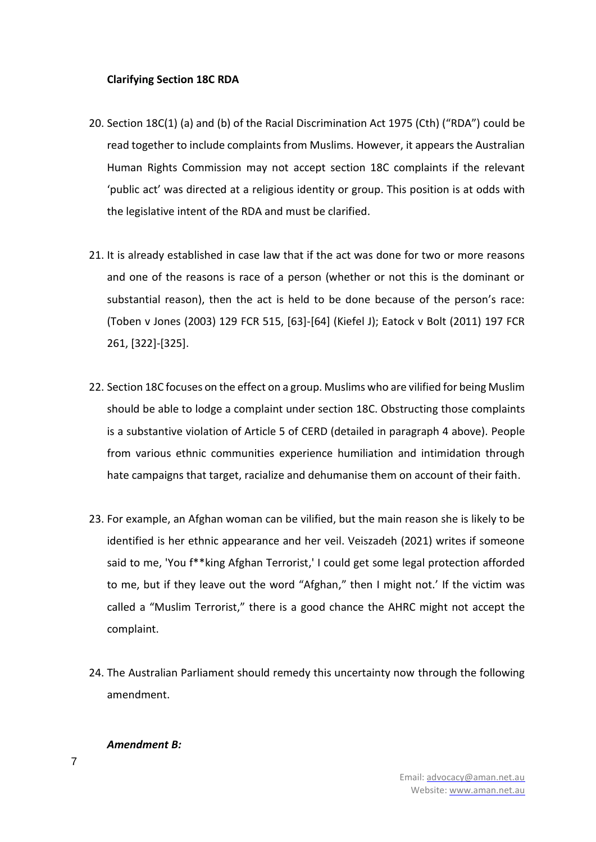## **Clarifying Section 18C RDA**

- 20. Section 18C(1) (a) and (b) of the Racial Discrimination Act 1975 (Cth) ("RDA") could be read together to include complaints from Muslims. However, it appears the Australian Human Rights Commission may not accept section 18C complaints if the relevant 'public act' was directed at a religious identity or group. This position is at odds with the legislative intent of the RDA and must be clarified.
- 21. It is already established in case law that if the act was done for two or more reasons and one of the reasons is race of a person (whether or not this is the dominant or substantial reason), then the act is held to be done because of the person's race: (Toben v Jones (2003) 129 FCR 515, [63]-[64] (Kiefel J); Eatock v Bolt (2011) 197 FCR 261, [322]-[325].
- 22. Section 18C focuses on the effect on a group. Muslims who are vilified for being Muslim should be able to lodge a complaint under section 18C. Obstructing those complaints is a substantive violation of Article 5 of CERD (detailed in paragraph 4 above). People from various ethnic communities experience humiliation and intimidation through hate campaigns that target, racialize and dehumanise them on account of their faith.
- 23. For example, an Afghan woman can be vilified, but the main reason she is likely to be identified is her ethnic appearance and her veil. Veiszadeh (2021) writes if someone said to me, 'You f\*\*king Afghan Terrorist,' I could get some legal protection afforded to me, but if they leave out the word "Afghan," then I might not.' If the victim was called a "Muslim Terrorist," there is a good chance the AHRC might not accept the complaint.
- 24. The Australian Parliament should remedy this uncertainty now through the following amendment.

#### *Amendment B:*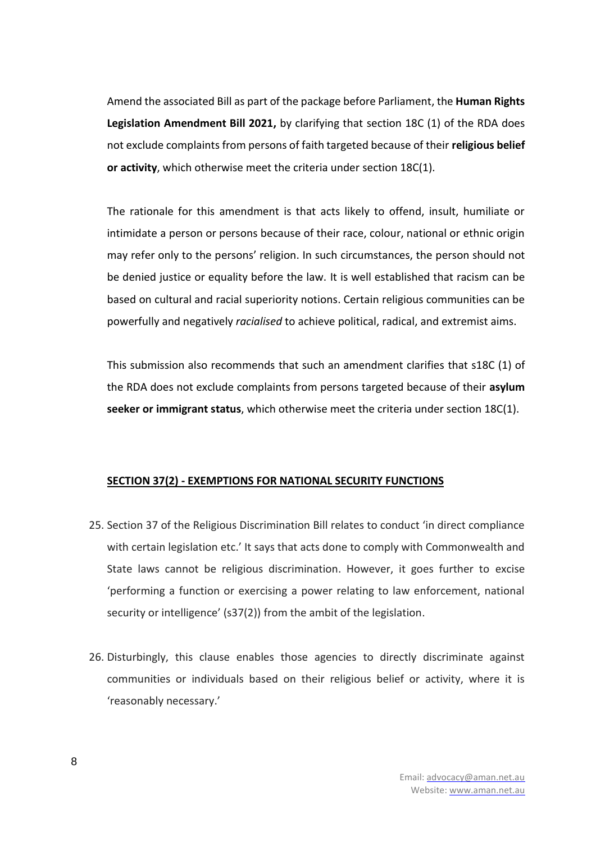Amend the associated Bill as part of the package before Parliament, the **Human Rights Legislation Amendment Bill 2021,** by clarifying that section 18C (1) of the RDA does not exclude complaints from persons of faith targeted because of their **religious belief or activity**, which otherwise meet the criteria under section 18C(1).

The rationale for this amendment is that acts likely to offend, insult, humiliate or intimidate a person or persons because of their race, colour, national or ethnic origin may refer only to the persons' religion. In such circumstances, the person should not be denied justice or equality before the law. It is well established that racism can be based on cultural and racial superiority notions. Certain religious communities can be powerfully and negatively *racialised* to achieve political, radical, and extremist aims.

This submission also recommends that such an amendment clarifies that s18C (1) of the RDA does not exclude complaints from persons targeted because of their **asylum seeker or immigrant status**, which otherwise meet the criteria under section 18C(1).

## **SECTION 37(2) - EXEMPTIONS FOR NATIONAL SECURITY FUNCTIONS**

- 25. Section 37 of the Religious Discrimination Bill relates to conduct 'in direct compliance with certain legislation etc.' It says that acts done to comply with Commonwealth and State laws cannot be religious discrimination. However, it goes further to excise 'performing a function or exercising a power relating to law enforcement, national security or intelligence' (s37(2)) from the ambit of the legislation.
- 26. Disturbingly, this clause enables those agencies to directly discriminate against communities or individuals based on their religious belief or activity, where it is 'reasonably necessary.'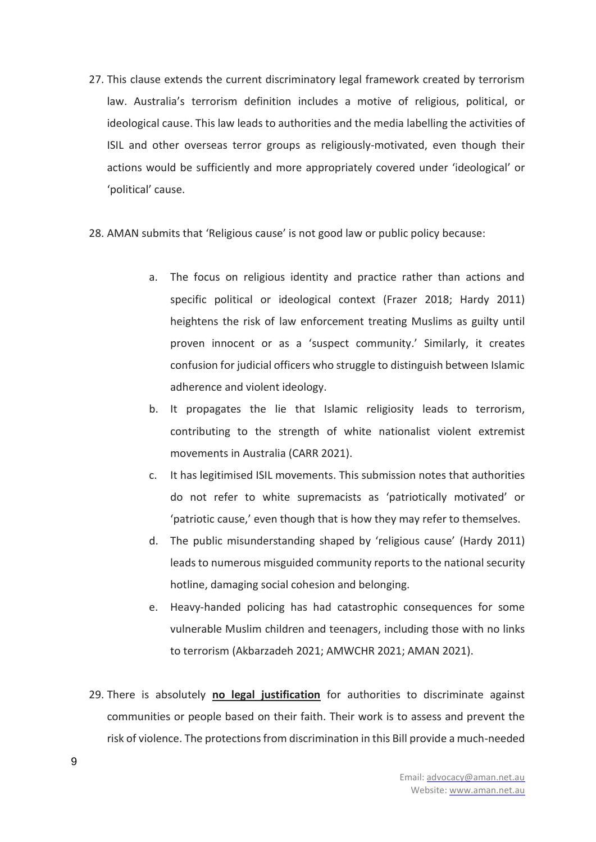- 27. This clause extends the current discriminatory legal framework created by terrorism law. Australia's terrorism definition includes a motive of religious, political, or ideological cause. This law leads to authorities and the media labelling the activities of ISIL and other overseas terror groups as religiously-motivated, even though their actions would be sufficiently and more appropriately covered under 'ideological' or 'political' cause.
- 28. AMAN submits that 'Religious cause' is not good law or public policy because:
	- a. The focus on religious identity and practice rather than actions and specific political or ideological context (Frazer 2018; Hardy 2011) heightens the risk of law enforcement treating Muslims as guilty until proven innocent or as a 'suspect community.' Similarly, it creates confusion for judicial officers who struggle to distinguish between Islamic adherence and violent ideology.
	- b. It propagates the lie that Islamic religiosity leads to terrorism, contributing to the strength of white nationalist violent extremist movements in Australia (CARR 2021).
	- c. It has legitimised ISIL movements. This submission notes that authorities do not refer to white supremacists as 'patriotically motivated' or 'patriotic cause,' even though that is how they may refer to themselves.
	- d. The public misunderstanding shaped by 'religious cause' (Hardy 2011) leads to numerous misguided community reports to the national security hotline, damaging social cohesion and belonging.
	- e. Heavy-handed policing has had catastrophic consequences for some vulnerable Muslim children and teenagers, including those with no links to terrorism (Akbarzadeh 2021; AMWCHR 2021; AMAN 2021).
- 29. There is absolutely **no legal justification** for authorities to discriminate against communities or people based on their faith. Their work is to assess and prevent the risk of violence. The protections from discrimination in this Bill provide a much-needed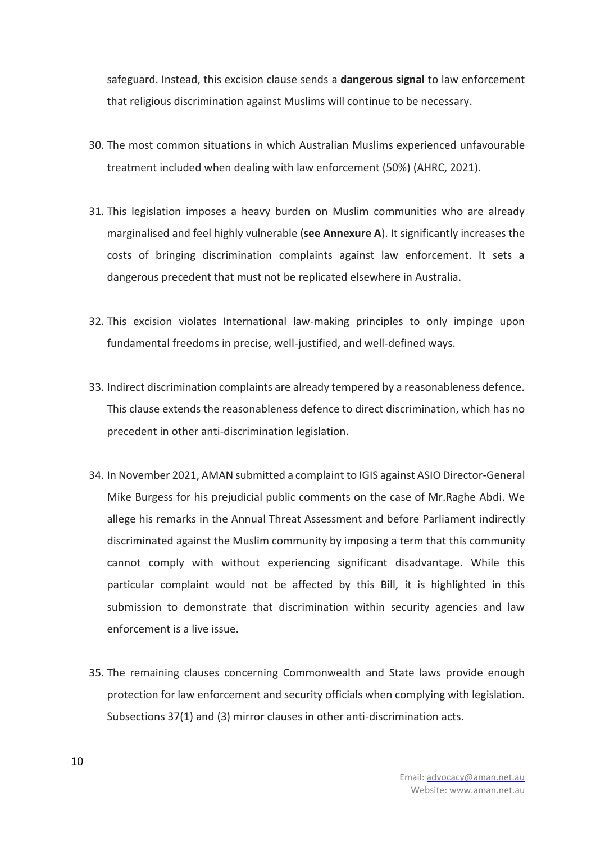safeguard. Instead, this excision clause sends a **dangerous signal** to law enforcement that religious discrimination against Muslims will continue to be necessary.

- 30. The most common situations in which Australian Muslims experienced unfavourable treatment included when dealing with law enforcement (50%) (AHRC, 2021).
- 31. This legislation imposes a heavy burden on Muslim communities who are already marginalised and feel highly vulnerable (**see Annexure A**). It significantly increases the costs of bringing discrimination complaints against law enforcement. It sets a dangerous precedent that must not be replicated elsewhere in Australia.
- 32. This excision violates International law-making principles to only impinge upon fundamental freedoms in precise, well-justified, and well-defined ways.
- 33. Indirect discrimination complaints are already tempered by a reasonableness defence. This clause extends the reasonableness defence to direct discrimination, which has no precedent in other anti-discrimination legislation.
- 34. In November 2021, AMAN submitted a complaint to IGIS against ASIO Director-General Mike Burgess for his prejudicial public comments on the case of Mr.Raghe Abdi. We allege his remarks in the Annual Threat Assessment and before Parliament indirectly discriminated against the Muslim community by imposing a term that this community cannot comply with without experiencing significant disadvantage. While this particular complaint would not be affected by this Bill, it is highlighted in this submission to demonstrate that discrimination within security agencies and law enforcement is a live issue.
- 35. The remaining clauses concerning Commonwealth and State laws provide enough protection for law enforcement and security officials when complying with legislation. Subsections 37(1) and (3) mirror clauses in other anti-discrimination acts.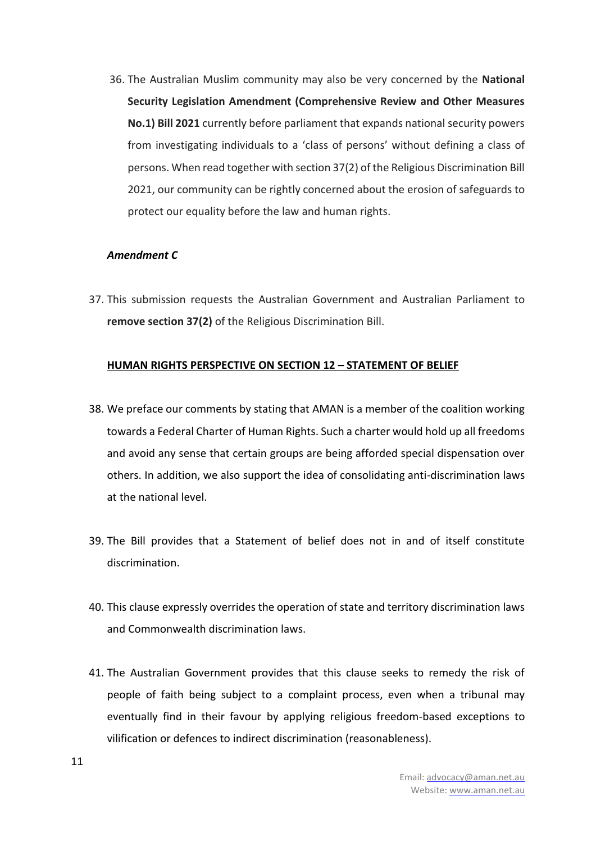36. The Australian Muslim community may also be very concerned by the **National Security Legislation Amendment (Comprehensive Review and Other Measures No.1) Bill 2021** currently before parliament that expands national security powers from investigating individuals to a 'class of persons' without defining a class of persons. When read together with section 37(2) of the Religious Discrimination Bill 2021, our community can be rightly concerned about the erosion of safeguards to protect our equality before the law and human rights.

## *Amendment C*

37. This submission requests the Australian Government and Australian Parliament to **remove section 37(2)** of the Religious Discrimination Bill.

## **HUMAN RIGHTS PERSPECTIVE ON SECTION 12 – STATEMENT OF BELIEF**

- 38. We preface our comments by stating that AMAN is a member of the coalition working towards a Federal Charter of Human Rights. Such a charter would hold up all freedoms and avoid any sense that certain groups are being afforded special dispensation over others. In addition, we also support the idea of consolidating anti-discrimination laws at the national level.
- 39. The Bill provides that a Statement of belief does not in and of itself constitute discrimination.
- 40. This clause expressly overrides the operation of state and territory discrimination laws and Commonwealth discrimination laws.
- 41. The Australian Government provides that this clause seeks to remedy the risk of people of faith being subject to a complaint process, even when a tribunal may eventually find in their favour by applying religious freedom-based exceptions to vilification or defences to indirect discrimination (reasonableness).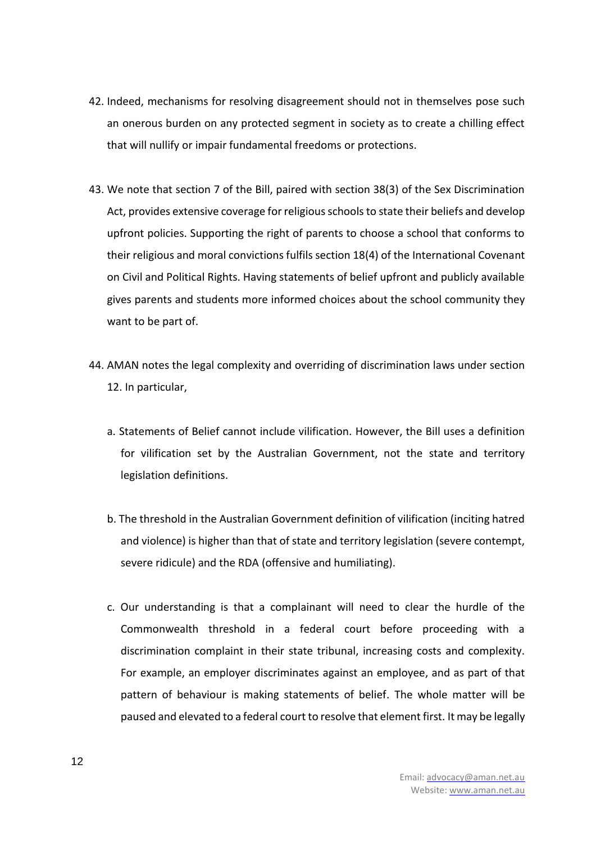- 42. Indeed, mechanisms for resolving disagreement should not in themselves pose such an onerous burden on any protected segment in society as to create a chilling effect that will nullify or impair fundamental freedoms or protections.
- 43. We note that section 7 of the Bill, paired with section 38(3) of the Sex Discrimination Act, provides extensive coverage for religious schools to state their beliefs and develop upfront policies. Supporting the right of parents to choose a school that conforms to their religious and moral convictions fulfils section 18(4) of the International Covenant on Civil and Political Rights. Having statements of belief upfront and publicly available gives parents and students more informed choices about the school community they want to be part of.
- 44. AMAN notes the legal complexity and overriding of discrimination laws under section 12. In particular,
	- a. Statements of Belief cannot include vilification. However, the Bill uses a definition for vilification set by the Australian Government, not the state and territory legislation definitions.
	- b. The threshold in the Australian Government definition of vilification (inciting hatred and violence) is higher than that of state and territory legislation (severe contempt, severe ridicule) and the RDA (offensive and humiliating).
	- c. Our understanding is that a complainant will need to clear the hurdle of the Commonwealth threshold in a federal court before proceeding with a discrimination complaint in their state tribunal, increasing costs and complexity. For example, an employer discriminates against an employee, and as part of that pattern of behaviour is making statements of belief. The whole matter will be paused and elevated to a federal court to resolve that element first. It may be legally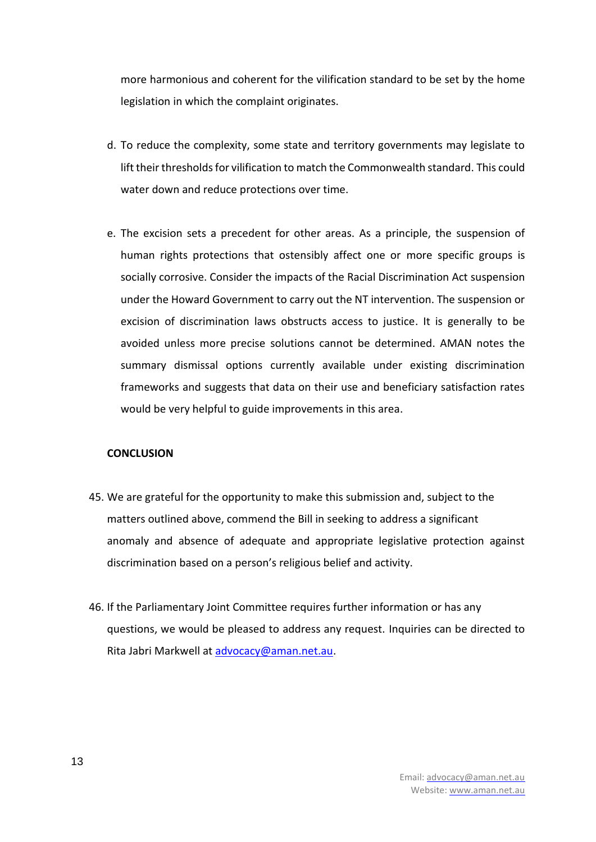more harmonious and coherent for the vilification standard to be set by the home legislation in which the complaint originates.

- d. To reduce the complexity, some state and territory governments may legislate to lift their thresholds for vilification to match the Commonwealth standard. This could water down and reduce protections over time.
- e. The excision sets a precedent for other areas. As a principle, the suspension of human rights protections that ostensibly affect one or more specific groups is socially corrosive. Consider the impacts of the Racial Discrimination Act suspension under the Howard Government to carry out the NT intervention. The suspension or excision of discrimination laws obstructs access to justice. It is generally to be avoided unless more precise solutions cannot be determined. AMAN notes the summary dismissal options currently available under existing discrimination frameworks and suggests that data on their use and beneficiary satisfaction rates would be very helpful to guide improvements in this area.

## **CONCLUSION**

- 45. We are grateful for the opportunity to make this submission and, subject to the matters outlined above, commend the Bill in seeking to address a significant anomaly and absence of adequate and appropriate legislative protection against discrimination based on a person's religious belief and activity.
- 46. If the Parliamentary Joint Committee requires further information or has any questions, we would be pleased to address any request. Inquiries can be directed to Rita Jabri Markwell at [advocacy@aman.net.au.](mailto:advocacy@aman.net.au)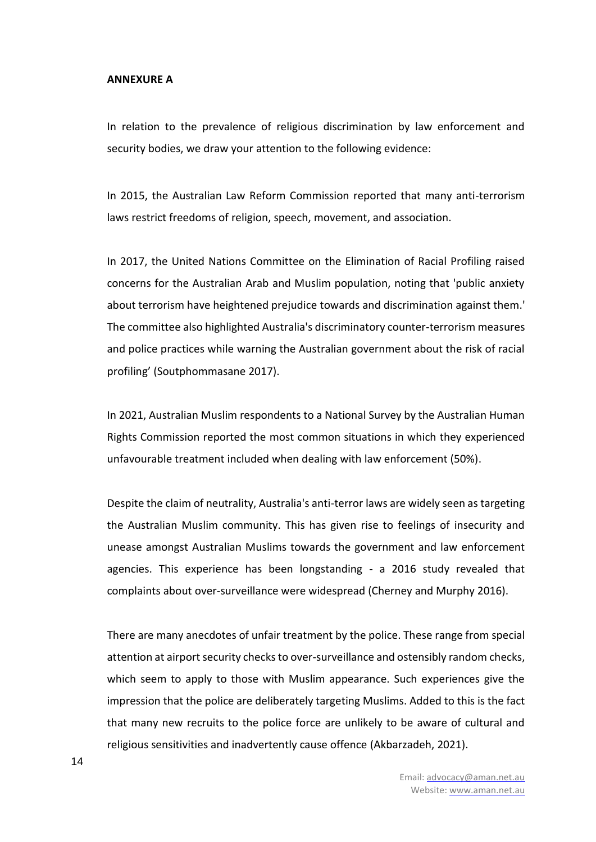#### **ANNEXURE A**

In relation to the prevalence of religious discrimination by law enforcement and security bodies, we draw your attention to the following evidence:

In 2015, the Australian Law Reform Commission reported that many anti-terrorism laws restrict freedoms of religion, speech, movement, and association.

In 2017, the United Nations Committee on the Elimination of Racial Profiling raised concerns for the Australian Arab and Muslim population, noting that 'public anxiety about terrorism have heightened prejudice towards and discrimination against them.' The committee also highlighted Australia's discriminatory counter-terrorism measures and police practices while warning the Australian government about the risk of racial profiling' (Soutphommasane 2017).

In 2021, Australian Muslim respondents to a National Survey by the Australian Human Rights Commission reported the most common situations in which they experienced unfavourable treatment included when dealing with law enforcement (50%).

Despite the claim of neutrality, Australia's anti-terror laws are widely seen as targeting the Australian Muslim community. This has given rise to feelings of insecurity and unease amongst Australian Muslims towards the government and law enforcement agencies. This experience has been longstanding - a 2016 study revealed that complaints about over-surveillance were widespread (Cherney and Murphy 2016).

There are many anecdotes of unfair treatment by the police. These range from special attention at airport security checks to over-surveillance and ostensibly random checks, which seem to apply to those with Muslim appearance. Such experiences give the impression that the police are deliberately targeting Muslims. Added to this is the fact that many new recruits to the police force are unlikely to be aware of cultural and religious sensitivities and inadvertently cause offence (Akbarzadeh, 2021).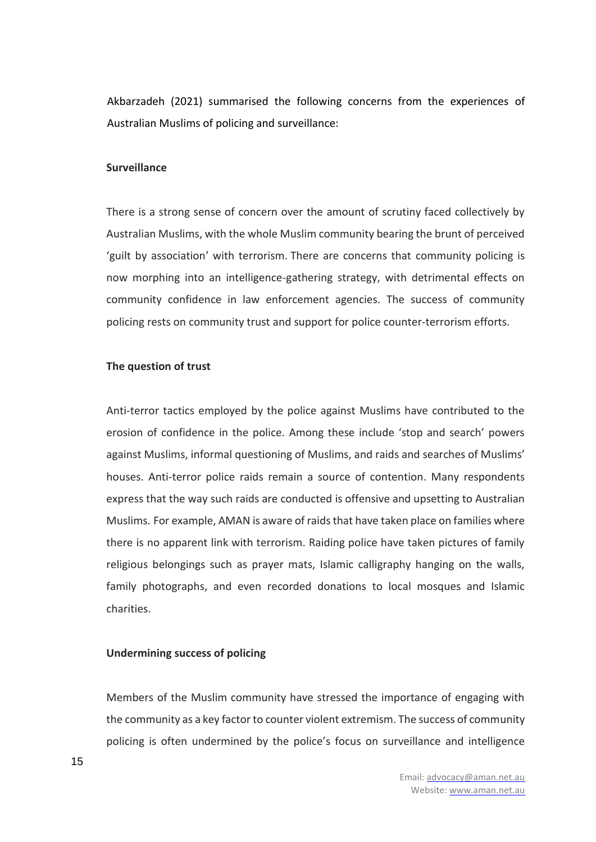Akbarzadeh (2021) summarised the following concerns from the experiences of Australian Muslims of policing and surveillance:

#### **Surveillance**

There is a strong sense of concern over the amount of scrutiny faced collectively by Australian Muslims, with the whole Muslim community bearing the brunt of perceived 'guilt by association' with terrorism. There are concerns that community policing is now morphing into an intelligence-gathering strategy, with detrimental effects on community confidence in law enforcement agencies. The success of community policing rests on community trust and support for police counter-terrorism efforts.

### **The question of trust**

Anti-terror tactics employed by the police against Muslims have contributed to the erosion of confidence in the police. Among these include 'stop and search' powers against Muslims, informal questioning of Muslims, and raids and searches of Muslims' houses. Anti-terror police raids remain a source of contention. Many respondents express that the way such raids are conducted is offensive and upsetting to Australian Muslims. For example, AMAN is aware of raids that have taken place on families where there is no apparent link with terrorism. Raiding police have taken pictures of family religious belongings such as prayer mats, Islamic calligraphy hanging on the walls, family photographs, and even recorded donations to local mosques and Islamic charities.

## **Undermining success of policing**

Members of the Muslim community have stressed the importance of engaging with the community as a key factor to counter violent extremism. The success of community policing is often undermined by the police's focus on surveillance and intelligence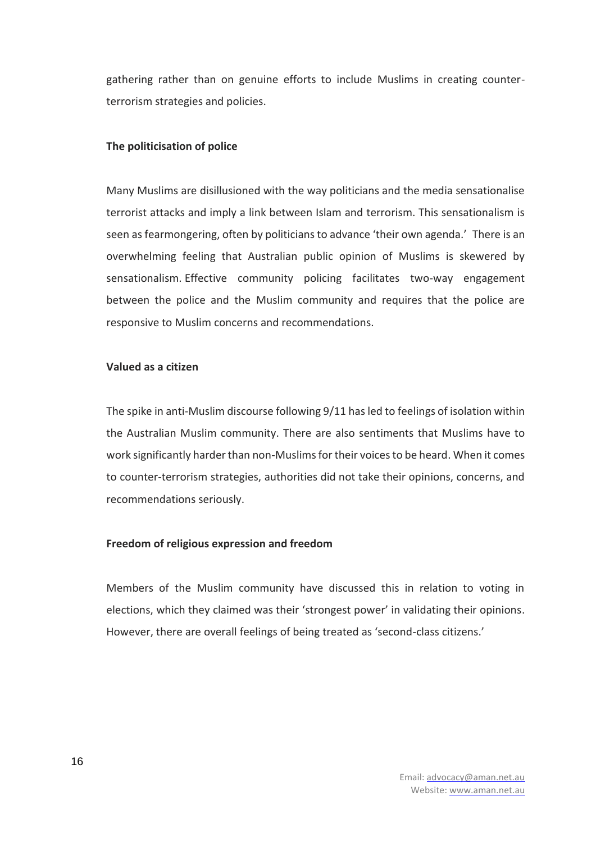gathering rather than on genuine efforts to include Muslims in creating counterterrorism strategies and policies.

### **The politicisation of police**

Many Muslims are disillusioned with the way politicians and the media sensationalise terrorist attacks and imply a link between Islam and terrorism. This sensationalism is seen as fearmongering, often by politicians to advance 'their own agenda.' There is an overwhelming feeling that Australian public opinion of Muslims is skewered by sensationalism. Effective community policing facilitates two-way engagement between the police and the Muslim community and requires that the police are responsive to Muslim concerns and recommendations.

## **Valued as a citizen**

The spike in anti-Muslim discourse following 9/11 has led to feelings of isolation within the Australian Muslim community. There are also sentiments that Muslims have to work significantly harder than non-Muslims for their voices to be heard. When it comes to counter-terrorism strategies, authorities did not take their opinions, concerns, and recommendations seriously.

#### **Freedom of religious expression and freedom**

Members of the Muslim community have discussed this in relation to voting in elections, which they claimed was their 'strongest power' in validating their opinions. However, there are overall feelings of being treated as 'second-class citizens.'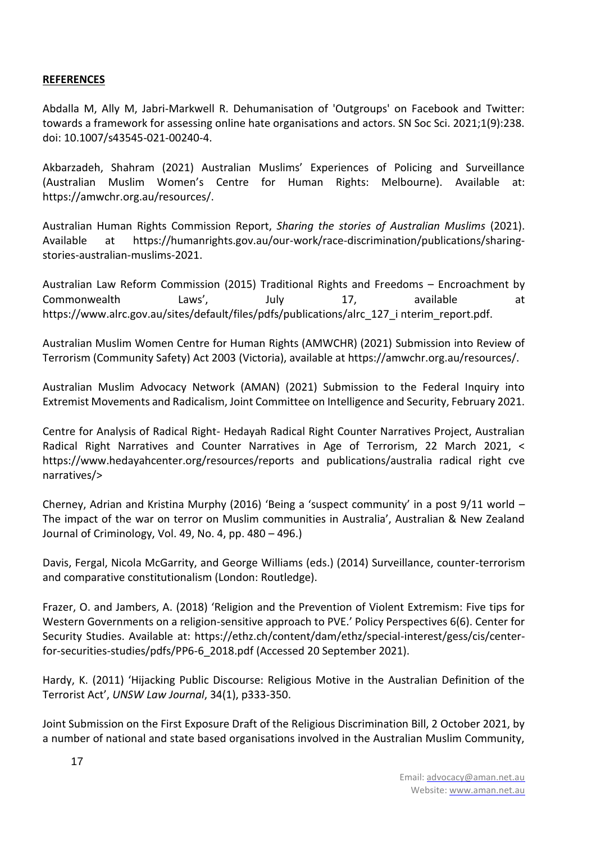# **REFERENCES**

Abdalla M, Ally M, Jabri-Markwell R. Dehumanisation of 'Outgroups' on Facebook and Twitter: towards a framework for assessing online hate organisations and actors. SN Soc Sci. 2021;1(9):238. doi: 10.1007/s43545-021-00240-4.

Akbarzadeh, Shahram (2021) Australian Muslims' Experiences of Policing and Surveillance (Australian Muslim Women's Centre for Human Rights: Melbourne). Available at: https://amwchr.org.au/resources/.

Australian Human Rights Commission Report, *Sharing the stories of Australian Muslims* (2021). Available at https://humanrights.gov.au/our-work/race-discrimination/publications/sharingstories-australian-muslims-2021.

Australian Law Reform Commission (2015) Traditional Rights and Freedoms – Encroachment by Commonwealth Laws', July 17, available at https://www.alrc.gov.au/sites/default/files/pdfs/publications/alrc\_127\_i nterim\_report.pdf.

Australian Muslim Women Centre for Human Rights (AMWCHR) (2021) Submission into Review of Terrorism (Community Safety) Act 2003 (Victoria), available at https://amwchr.org.au/resources/.

Australian Muslim Advocacy Network (AMAN) (2021) Submission to the Federal Inquiry into Extremist Movements and Radicalism, Joint Committee on Intelligence and Security, February 2021.

Centre for Analysis of Radical Right- Hedayah Radical Right Counter Narratives Project, Australian Radical Right Narratives and Counter Narratives in Age of Terrorism, 22 March 2021, < https://www.hedayahcenter.org/resources/reports and publications/australia radical right cve narratives/>

Cherney, Adrian and Kristina Murphy (2016) 'Being a 'suspect community' in a post 9/11 world – The impact of the war on terror on Muslim communities in Australia', Australian & New Zealand Journal of Criminology, Vol. 49, No. 4, pp. 480 – 496.)

Davis, Fergal, Nicola McGarrity, and George Williams (eds.) (2014) Surveillance, counter-terrorism and comparative constitutionalism (London: Routledge).

Frazer, O. and Jambers, A. (2018) 'Religion and the Prevention of Violent Extremism: Five tips for Western Governments on a religion-sensitive approach to PVE.' Policy Perspectives 6(6). Center for Security Studies. Available at: https://ethz.ch/content/dam/ethz/special-interest/gess/cis/centerfor-securities-studies/pdfs/PP6-6\_2018.pdf (Accessed 20 September 2021).

Hardy, K. (2011) 'Hijacking Public Discourse: Religious Motive in the Australian Definition of the Terrorist Act', *UNSW Law Journal*, 34(1), p333-350.

Joint Submission on the First Exposure Draft of the Religious Discrimination Bill, 2 October 2021, by a number of national and state based organisations involved in the Australian Muslim Community,